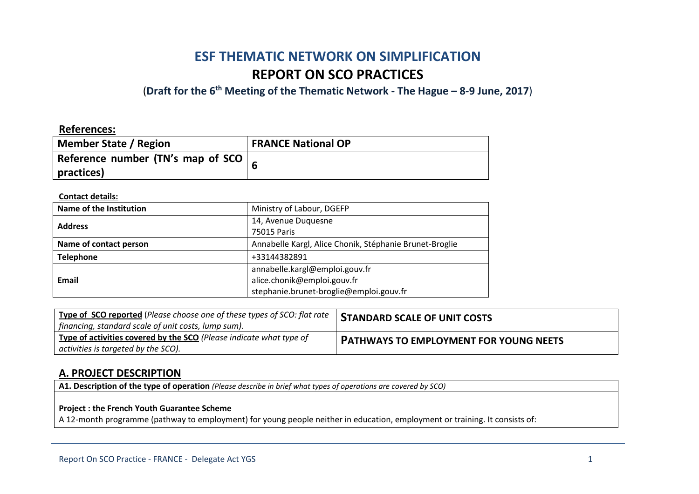# **ESF THEMATIC NETWORK ON SIMPLIFICATION REPORT ON SCO PRACTICES**

(**Draft for the 6th Meeting of the Thematic Network - The Hague – 8-9 June, 2017**)

### **References:**

| <b>Member State / Region</b>       | <b>FRANCE National OP</b> |
|------------------------------------|---------------------------|
| Reference number (TN's map of SCO) |                           |
| practices)                         |                           |

#### **Contact details:**

| Name of the Institution | Ministry of Labour, DGEFP                                                                                |
|-------------------------|----------------------------------------------------------------------------------------------------------|
| <b>Address</b>          | 14, Avenue Duquesne<br>75015 Paris                                                                       |
| Name of contact person  | Annabelle Kargl, Alice Chonik, Stéphanie Brunet-Broglie                                                  |
| <b>Telephone</b>        | +33144382891                                                                                             |
| <b>Email</b>            | annabelle.kargl@emploi.gouv.fr<br>alice.chonik@emploi.gouv.fr<br>stephanie.brunet-broglie@emploi.gouv.fr |

| Type of SCO reported (Please choose one of these types of SCO: flat rate<br>  financing, standard scale of unit costs, lump sum). | <b>STANDARD SCALE OF UNIT COSTS</b>           |
|-----------------------------------------------------------------------------------------------------------------------------------|-----------------------------------------------|
| Type of activities covered by the SCO (Please indicate what type of<br>$\vert$ activities is targeted by the SCO).                | <b>PATHWAYS TO EMPLOYMENT FOR YOUNG NEETS</b> |

### **A. PROJECT DESCRIPTION**

**A1. Description of the type of operation** *(Please describe in brief what types of operations are covered by SCO)*

#### **Project : the French Youth Guarantee Scheme**

A 12-month programme (pathway to employment) for young people neither in education, employment or training. It consists of: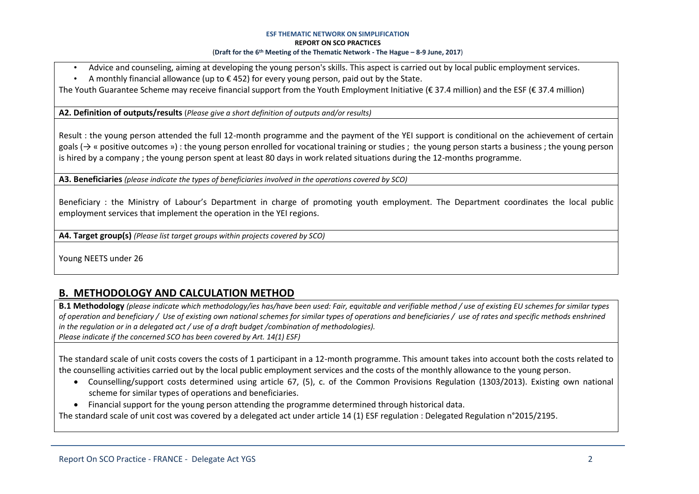- Advice and counseling, aiming at developing the young person's skills. This aspect is carried out by local public employment services.
- A monthly financial allowance (up to  $\epsilon$  452) for every young person, paid out by the State.

The Youth Guarantee Scheme may receive financial support from the Youth Employment Initiative (€ 37.4 million) and the ESF (€ 37.4 million)

**A2. Definition of outputs/results** (*Please give a short definition of outputs and/or results)*

Result : the young person attended the full 12-month programme and the payment of the YEI support is conditional on the achievement of certain goals ( $\rightarrow$  « positive outcomes ») : the young person enrolled for vocational training or studies ; the young person starts a business ; the young person is hired by a company ; the young person spent at least 80 days in work related situations during the 12-months programme.

**A3. Beneficiaries** *(please indicate the types of beneficiaries involved in the operations covered by SCO)*

Beneficiary : the Ministry of Labour's Department in charge of promoting youth employment. The Department coordinates the local public employment services that implement the operation in the YEI regions.

**A4. Target group(s)** *(Please list target groups within projects covered by SCO)*

Young NEETS under 26

# **B. METHODOLOGY AND CALCULATION METHOD**

**B.1 Methodology** *(please indicate which methodology/ies has/have been used: Fair, equitable and verifiable method / use of existing EU schemes for similar types of operation and beneficiary / Use of existing own national schemes for similar types of operations and beneficiaries / use of rates and specific methods enshrined in the regulation or in a delegated act / use of a draft budget /combination of methodologies). Please indicate if the concerned SCO has been covered by Art. 14(1) ESF)*

The standard scale of unit costs covers the costs of 1 participant in a 12-month programme. This amount takes into account both the costs related to the counselling activities carried out by the local public employment services and the costs of the monthly allowance to the young person.

- Counselling/support costs determined using article 67, (5), c. of the Common Provisions Regulation (1303/2013). Existing own national scheme for similar types of operations and beneficiaries.
- Financial support for the young person attending the programme determined through historical data.

The standard scale of unit cost was covered by a delegated act under article 14 (1) ESF regulation : Delegated Regulation n°2015/2195.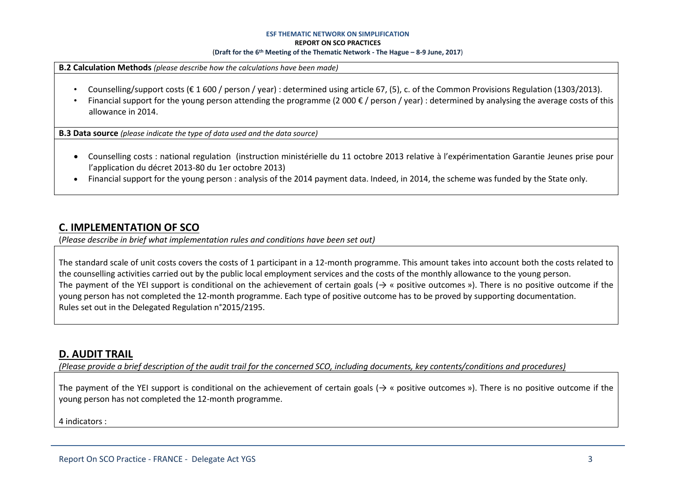**B.2 Calculation Methods** *(please describe how the calculations have been made)*

- Counselling/support costs ( $\epsilon$  1600 / person / year) : determined using article 67, (5), c. of the Common Provisions Regulation (1303/2013).
- Financial support for the young person attending the programme (2 000  $\epsilon$  / person / year) : determined by analysing the average costs of this allowance in 2014.

**B.3 Data source** *(please indicate the type of data used and the data source)*

- Counselling costs : national regulation (instruction ministérielle du 11 octobre 2013 relative à l'expérimentation Garantie Jeunes prise pour l'application du décret 2013-80 du 1er octobre 2013)
- Financial support for the young person : analysis of the 2014 payment data. Indeed, in 2014, the scheme was funded by the State only.

# **C. IMPLEMENTATION OF SCO**

(*Please describe in brief what implementation rules and conditions have been set out)*

The standard scale of unit costs covers the costs of 1 participant in a 12-month programme. This amount takes into account both the costs related to the counselling activities carried out by the public local employment services and the costs of the monthly allowance to the young person. The payment of the YEI support is conditional on the achievement of certain goals ( $\rightarrow$  « positive outcomes »). There is no positive outcome if the young person has not completed the 12-month programme. Each type of positive outcome has to be proved by supporting documentation. Rules set out in the Delegated Regulation n°2015/2195.

### **D. AUDIT TRAIL**

*(Please provide a brief description of the audit trail for the concerned SCO, including documents, key contents/conditions and procedures)*

The payment of the YEI support is conditional on the achievement of certain goals ( $\rightarrow$  « positive outcomes »). There is no positive outcome if the young person has not completed the 12-month programme.

4 indicators :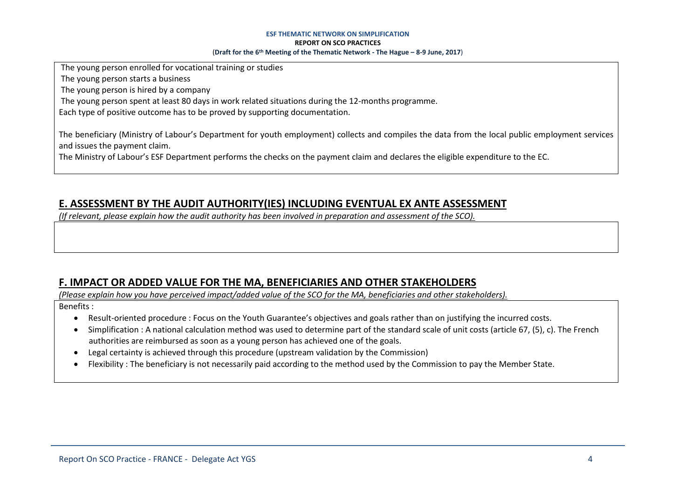The young person enrolled for vocational training or studies

The young person starts a business

The young person is hired by a company

The young person spent at least 80 days in work related situations during the 12-months programme.

Each type of positive outcome has to be proved by supporting documentation.

The beneficiary (Ministry of Labour's Department for youth employment) collects and compiles the data from the local public employment services and issues the payment claim.

The Ministry of Labour's ESF Department performs the checks on the payment claim and declares the eligible expenditure to the EC.

# **E. ASSESSMENT BY THE AUDIT AUTHORITY(IES) INCLUDING EVENTUAL EX ANTE ASSESSMENT**

*(If relevant, please explain how the audit authority has been involved in preparation and assessment of the SCO).* 

# **F. IMPACT OR ADDED VALUE FOR THE MA, BENEFICIARIES AND OTHER STAKEHOLDERS**

*(Please explain how you have perceived impact/added value of the SCO for the MA, beneficiaries and other stakeholders).* 

Benefits :

- Result-oriented procedure : Focus on the Youth Guarantee's objectives and goals rather than on justifying the incurred costs.
- Simplification : A national calculation method was used to determine part of the standard scale of unit costs (article 67, (5), c). The French authorities are reimbursed as soon as a young person has achieved one of the goals.
- Legal certainty is achieved through this procedure (upstream validation by the Commission)
- Flexibility : The beneficiary is not necessarily paid according to the method used by the Commission to pay the Member State.